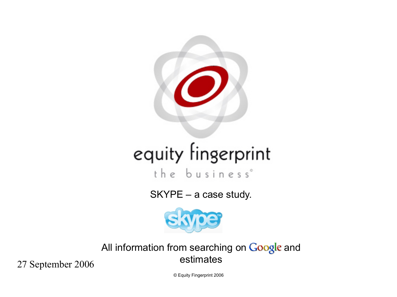

# equity fingerprint

the business°

SKYPE – a case study.



All information from searching on Google and estimates

27 September 2006

© Equity Fingerprint 2006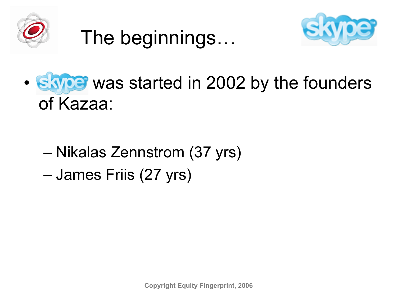

The beginnings…



- Saype was started in 2002 by the founders of Kazaa:
	- Nikalas Zennstrom (37 yrs) – James Friis (27 yrs)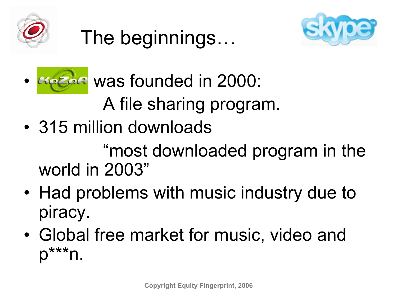





• Kazaa was founded in 2000: A file sharing program.

• 315 million downloads

"most downloaded program in the world in 2003"

- Had problems with music industry due to piracy.
- Global free market for music, video and  $D^{***}n$ .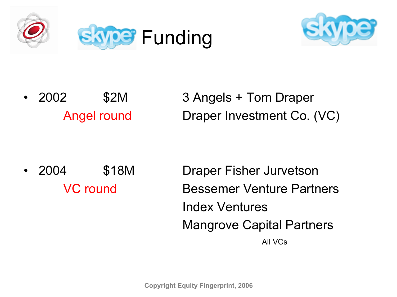



• 2002 \$2M 3 Angels + Tom Draper Angel round Draper Investment Co. (VC)

• 2004 \$18M Draper Fisher Jurvetson VC round Bessemer Venture Partners Index Ventures Mangrove Capital Partners **All VCs**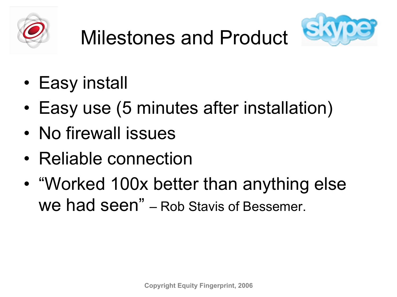



- Easy install
- Easy use (5 minutes after installation)
- No firewall issues
- Reliable connection
- "Worked 100x better than anything else we had seen" – Rob Stavis of Bessemer.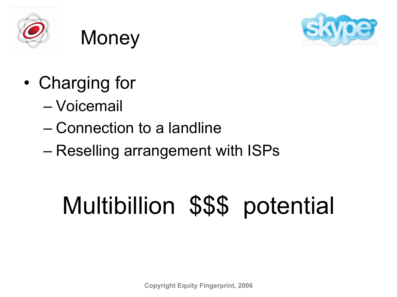



- **Money**
- Charging for
	- Voicemail
	- Connection to a landline
	- Reselling arrangement with ISPs

## Multibillion \$\$\$ potential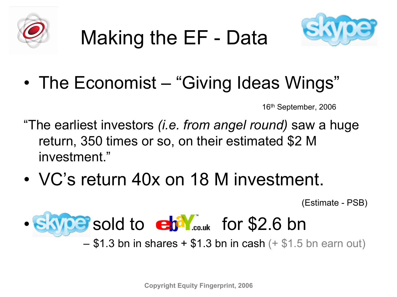

## Making the EF - Data



• The Economist – "Giving Ideas Wings"

16th September, 2006

- "The earliest investors *(i.e. from angel round)* saw a huge return, 350 times or so, on their estimated \$2 M investment."
- VC's return 40x on 18 M investment.

(Estimate - PSB)

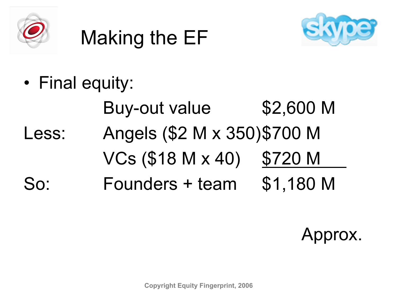

## Making the EF



• Final equity: Buy-out value \$2,600 M Less: Angels (\$2 M x 350)\$700 M  $VCs$  (\$18 M x 40) \$720 M So: Founders + team \$1,180 M

Approx.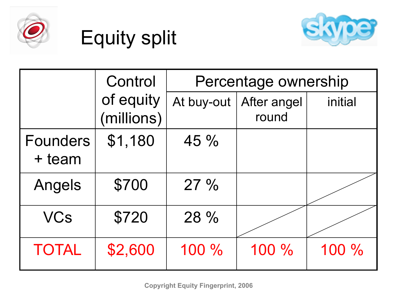

## Equity split



|                           | Control                 | Percentage ownership |                      |         |  |
|---------------------------|-------------------------|----------------------|----------------------|---------|--|
|                           | of equity<br>(millions) | At buy-out $ $       | After angel<br>round | initial |  |
| <b>Founders</b><br>+ team | \$1,180                 | 45 %                 |                      |         |  |
| Angels                    | \$700                   | 27%                  |                      |         |  |
| <b>VCs</b>                | \$720                   | 28 %                 |                      |         |  |
| <b>TOTAL</b>              | \$2,600                 | 100 %                | 100 %                | 100 %   |  |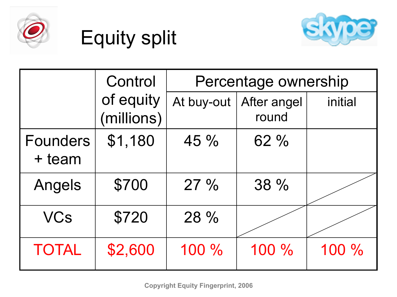

## Equity split



|                           | Control                 |            | Percentage ownership |         |
|---------------------------|-------------------------|------------|----------------------|---------|
|                           | of equity<br>(millions) | At buy-out | After angel<br>round | initial |
| <b>Founders</b><br>+ team | \$1,180                 | $45 \%$    | 62%                  |         |
| Angels                    | \$700                   | 27%        | 38 %                 |         |
| <b>VCs</b>                | \$720                   | 28 %       |                      |         |
| <b>TOTAL</b>              | \$2,600                 | 100 %      | 100 %                | 100 %   |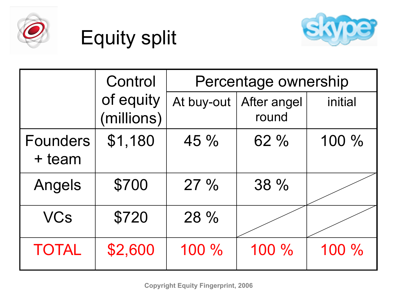

## Equity split



|                           | Control                 | Percentage ownership |                      |         |  |
|---------------------------|-------------------------|----------------------|----------------------|---------|--|
|                           | of equity<br>(millions) | At buy-out           | After angel<br>round | initial |  |
| <b>Founders</b><br>+ team | \$1,180                 | 45 %                 | 62%                  | 100 %   |  |
| Angels                    | \$700                   | 27%                  | 38 %                 |         |  |
| <b>VCs</b>                | \$720                   | 28 %                 |                      |         |  |
| <b>TOTAL</b>              | \$2,600                 | 100 %                | 100 %                | 100 %   |  |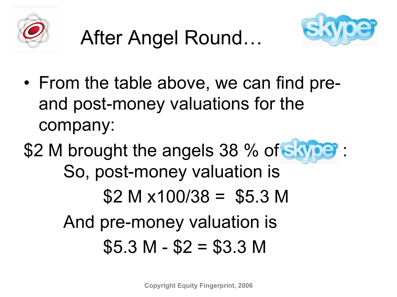





- From the table above, we can find preand post-money valuations for the company:
- \$2 M brought the angels 38 % of SAW So, post-money valuation is  $$2 M x100/38 = $5.3 M$ And pre-money valuation is  $$5.3 M - $2 = $3.3 M$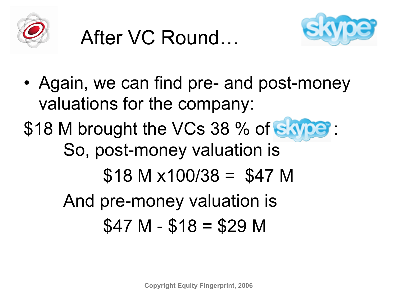





• Again, we can find pre- and post-money valuations for the company: \$18 M brought the VCs 38 % of Saype: So, post-money valuation is  $$18$  M  $\times$ 100/38 = \$47 M And pre-money valuation is  $$47 M - $18 = $29 M$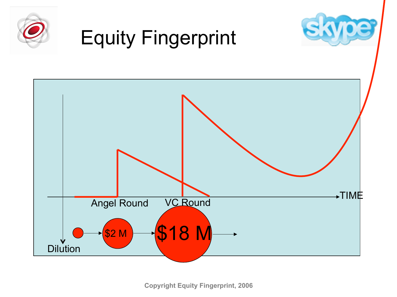

**Copyright Equity Fingerprint, 2006**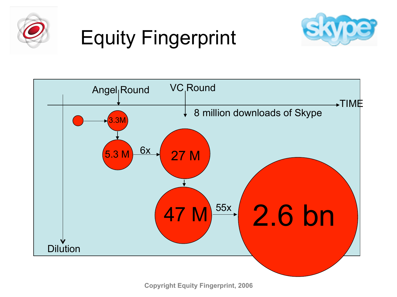

## Equity Fingerprint





**Copyright Equity Fingerprint, 2006**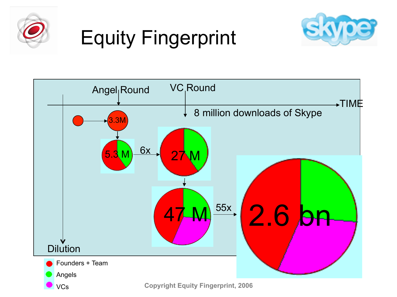

## Equity Fingerprint



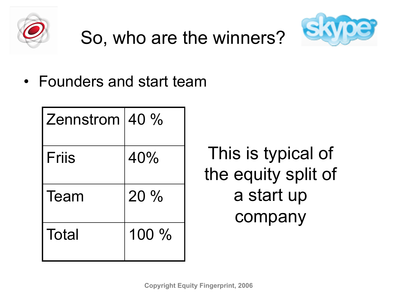



• Founders and start team

| Zennstrom $40\%$ |         |
|------------------|---------|
| <b>Friis</b>     | 40%     |
| Team             | $20\%$  |
| Total            | $100\%$ |

This is typical of the equity split of a start up company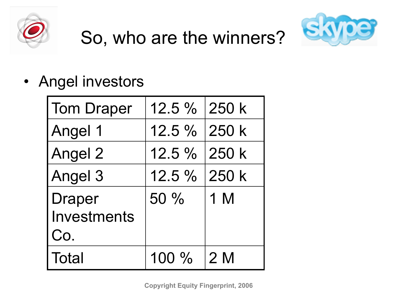



• Angel investors

| <b>Tom Draper</b>  | 12.5 % 250 k |       |
|--------------------|--------------|-------|
| <b>Angel 1</b>     | 12.5 % 250 k |       |
| Angel 2            | $12.5\%$     | 250 k |
| Angel 3            | 12.5 % 250 k |       |
| <b>Draper</b>      | $50\%$       | 1 M   |
| <b>Investments</b> |              |       |
| Co.                |              |       |
| <b>Total</b>       | $100\%$      | 12 M  |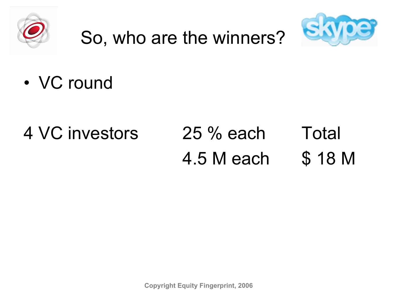



• VC round

#### 4 VC investors 25 % each Total 4.5 M each \$ 18 M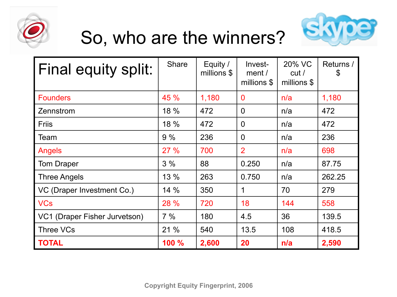



| <b>Final equity split:</b>    | <b>Share</b> | Equity /<br>millions \$ | Invest-<br>ment/<br>millions \$ | 20% VC<br>cut/<br>millions \$ | Returns /<br>\$ |
|-------------------------------|--------------|-------------------------|---------------------------------|-------------------------------|-----------------|
| <b>Founders</b>               | 45 %         | 1,180                   | $\mathbf 0$                     | n/a                           | 1,180           |
| Zennstrom                     | 18 %         | 472                     | $\overline{0}$                  | n/a                           | 472             |
| <b>Friis</b>                  | 18 %         | 472                     | $\overline{0}$                  | n/a                           | 472             |
| Team                          | 9%           | 236                     | $\overline{0}$                  | n/a                           | 236             |
| Angels                        | 27%          | 700                     | $\overline{2}$                  | n/a                           | 698             |
| <b>Tom Draper</b>             | 3%           | 88                      | 0.250                           | n/a                           | 87.75           |
| <b>Three Angels</b>           | 13 %         | 263                     | 0.750                           | n/a                           | 262.25          |
| VC (Draper Investment Co.)    | 14%          | 350                     | 1                               | 70                            | 279             |
| <b>VCs</b>                    | 28 %         | 720                     | 18                              | 144                           | 558             |
| VC1 (Draper Fisher Jurvetson) | 7%           | 180                     | 4.5                             | 36                            | 139.5           |
| Three VCs                     | 21 %         | 540                     | 13.5                            | 108                           | 418.5           |
| <b>TOTAL</b>                  | 100 %        | 2,600                   | 20                              | n/a                           | 2,590           |